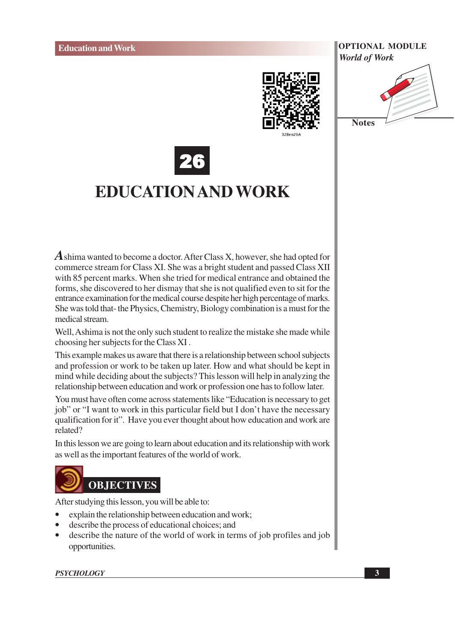

**Notes** 



## **EDUCATION AND WORK**

 $\vec{A}$  shima wanted to become a doctor. After Class X, however, she had opted for commerce stream for Class XI. She was a bright student and passed Class XII with 85 percent marks. When she tried for medical entrance and obtained the forms, she discovered to her dismay that she is not qualified even to sit for the entrance examination for the medical course despite her high percentage of marks. She was told that-the Physics, Chemistry, Biology combination is a must for the medical stream.

Well, Ashima is not the only such student to realize the mistake she made while choosing her subjects for the Class XI.

This example makes us aware that there is a relationship between school subjects and profession or work to be taken up later. How and what should be kept in mind while deciding about the subjects? This lesson will help in analyzing the relationship between education and work or profession one has to follow later.

You must have often come across statements like "Education is necessary to get job" or "I want to work in this particular field but I don't have the necessary qualification for it". Have you ever thought about how education and work are related?

In this lesson we are going to learn about education and its relationship with work as well as the important features of the world of work.



After studying this lesson, you will be able to:

- explain the relationship between education and work;
- describe the process of educational choices; and
- describe the nature of the world of work in terms of job profiles and job  $\bullet$ opportunities.

### **PSYCHOLOGY**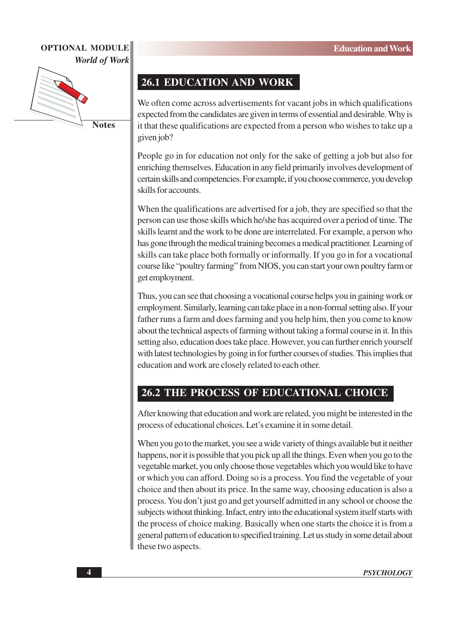

**Notes** 

## **26.1 EDUCATION AND WORK**

We often come across advertisements for vacant jobs in which qualifications expected from the candidates are given in terms of essential and desirable. Why is it that these qualifications are expected from a person who wishes to take up a given job?

People go in for education not only for the sake of getting a job but also for enriching themselves. Education in any field primarily involves development of certain skills and competencies. For example, if you choose commerce, you develop skills for accounts.

When the qualifications are advertised for a job, they are specified so that the person can use those skills which he/she has acquired over a period of time. The skills learnt and the work to be done are interrelated. For example, a person who has gone through the medical training becomes a medical practitioner. Learning of skills can take place both formally or informally. If you go in for a vocational course like "poultry farming" from NIOS, you can start your own poultry farm or get employment.

Thus, you can see that choosing a vocational course helps you in gaining work or employment. Similarly, learning can take place in a non-formal setting also. If your father runs a farm and does farming and you help him, then you come to know about the technical aspects of farming without taking a formal course in it. In this setting also, education does take place. However, you can further enrich yourself with latest technologies by going in for further courses of studies. This implies that education and work are closely related to each other.

## **26.2 THE PROCESS OF EDUCATIONAL CHOICE**

After knowing that education and work are related, you might be interested in the process of educational choices. Let's examine it in some detail.

When you go to the market, you see a wide variety of things available but it neither happens, nor it is possible that you pick up all the things. Even when you go to the vegetable market, you only choose those vegetables which you would like to have or which you can afford. Doing so is a process. You find the vegetable of your choice and then about its price. In the same way, choosing education is also a process. You don't just go and get yourself admitted in any school or choose the subjects without thinking. Infact, entry into the educational system itself starts with the process of choice making. Basically when one starts the choice it is from a general pattern of education to specified training. Let us study in some detail about these two aspects.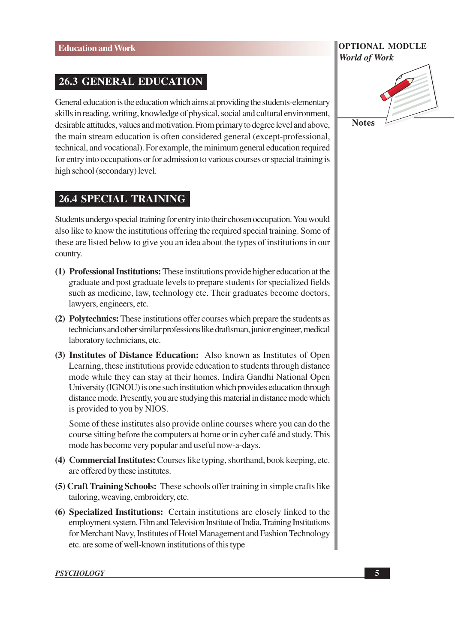## **26.3 GENERAL EDUCATION**

General education is the education which aims at providing the students-elementary skills in reading, writing, knowledge of physical, social and cultural environment, desirable attitudes, values and motivation. From primary to degree level and above, the main stream education is often considered general (except-professional, technical, and vocational). For example, the minimum general education required for entry into occupations or for admission to various courses or special training is high school (secondary) level.

## **26.4 SPECIAL TRAINING**

Students undergo special training for entry into their chosen occupation. You would also like to know the institutions offering the required special training. Some of these are listed below to give you an idea about the types of institutions in our country.

- (1) Professional Institutions: These institutions provide higher education at the graduate and post graduate levels to prepare students for specialized fields such as medicine, law, technology etc. Their graduates become doctors, lawyers, engineers, etc.
- (2) Polytechnics: These institutions offer courses which prepare the students as technicians and other similar professions like draftsman, junior engineer, medical laboratory technicians, etc.
- (3) Institutes of Distance Education: Also known as Institutes of Open Learning, these institutions provide education to students through distance mode while they can stay at their homes. Indira Gandhi National Open University (IGNOU) is one such institution which provides education through distance mode. Presently, you are studying this material in distance mode which is provided to you by NIOS.

Some of these institutes also provide online courses where you can do the course sitting before the computers at home or in cyber café and study. This mode has become very popular and useful now-a-days.

- (4) Commercial Institutes: Courses like typing, shorthand, book keeping, etc. are offered by these institutes.
- (5) Craft Training Schools: These schools offer training in simple crafts like tailoring, weaving, embroidery, etc.
- (6) Specialized Institutions: Certain institutions are closely linked to the employment system. Film and Television Institute of India, Training Institutions for Merchant Navy, Institutes of Hotel Management and Fashion Technology etc. are some of well-known institutions of this type

# **OPTIONAL MODULE World of Work**

**Notes**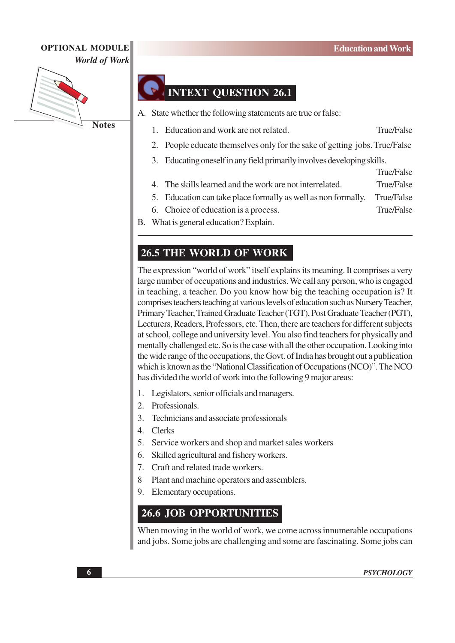

## **INTEXT QUESTION 26.1**

A. State whether the following statements are true or false:

- **True/False** 1. Education and work are not related.
- 2. People educate themselves only for the sake of getting jobs. True/False
- 3. Educating oneself in any field primarily involves developing skills.
- **True/False** 4. The skills learned and the work are not interrelated. True/False
- 5. Education can take place formally as well as non formally. **True/False**
- **True/False** 6. Choice of education is a process.
- B. What is general education? Explain.

## **26.5 THE WORLD OF WORK**

The expression "world of work" itself explains its meaning. It comprises a very large number of occupations and industries. We call any person, who is engaged in teaching, a teacher. Do you know how big the teaching occupation is? It comprises teachers teaching at various levels of education such as Nursery Teacher, Primary Teacher, Trained Graduate Teacher (TGT), Post Graduate Teacher (PGT), Lecturers, Readers, Professors, etc. Then, there are teachers for different subjects at school, college and university level. You also find teachers for physically and mentally challenged etc. So is the case with all the other occupation. Looking into the wide range of the occupations, the Govt. of India has brought out a publication which is known as the "National Classification of Occupations (NCO)". The NCO has divided the world of work into the following 9 major areas:

- 1. Legislators, senior officials and managers.
- 2. Professionals.
- 3. Technicians and associate professionals
- 4. Clerks
- 5. Service workers and shop and market sales workers
- 6. Skilled agricultural and fishery workers.
- 7. Craft and related trade workers.
- 8 Plant and machine operators and assemblers.
- 9. Elementary occupations.

## **26.6 JOB OPPORTUNITIES**

When moving in the world of work, we come across innumerable occupations and jobs. Some jobs are challenging and some are fascinating. Some jobs can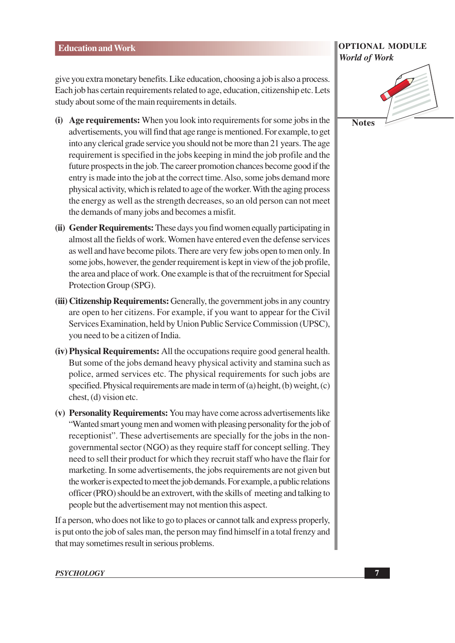give you extra monetary benefits. Like education, choosing a job is also a process. Each job has certain requirements related to age, education, citizenship etc. Lets study about some of the main requirements in details.

- (i) Age requirements: When you look into requirements for some jobs in the advertisements, you will find that age range is mentioned. For example, to get into any clerical grade service you should not be more than 21 years. The age requirement is specified in the jobs keeping in mind the job profile and the future prospects in the job. The career promotion chances become good if the entry is made into the job at the correct time. Also, some jobs demand more physical activity, which is related to age of the worker. With the aging process the energy as well as the strength decreases, so an old person can not meet the demands of many jobs and becomes a misfit.
- (ii) Gender Requirements: These days you find women equally participating in almost all the fields of work. Women have entered even the defense services as well and have become pilots. There are very few jobs open to men only. In some jobs, however, the gender requirement is kept in view of the job profile, the area and place of work. One example is that of the recruitment for Special Protection Group (SPG).
- (iii) Citizenship Requirements: Generally, the government jobs in any country are open to her citizens. For example, if you want to appear for the Civil Services Examination, held by Union Public Service Commission (UPSC), you need to be a citizen of India.
- (iv) Physical Requirements: All the occupations require good general health. But some of the jobs demand heavy physical activity and stamina such as police, armed services etc. The physical requirements for such jobs are specified. Physical requirements are made in term of (a) height, (b) weight, (c) chest, (d) vision etc.
- (v) Personality Requirements: You may have come across advertisements like "Wanted smart young men and women with pleasing personality for the job of receptionist". These advertisements are specially for the jobs in the nongovernmental sector (NGO) as they require staff for concept selling. They need to sell their product for which they recruit staff who have the flair for marketing. In some advertisements, the jobs requirements are not given but the worker is expected to meet the job demands. For example, a public relations officer (PRO) should be an extrovert, with the skills of meeting and talking to people but the advertisement may not mention this aspect.

If a person, who does not like to go to places or cannot talk and express properly, is put onto the job of sales man, the person may find himself in a total frenzy and that may sometimes result in serious problems.

### **OPTIONAL MODULE World of Work**



### **PSYCHOLOGY**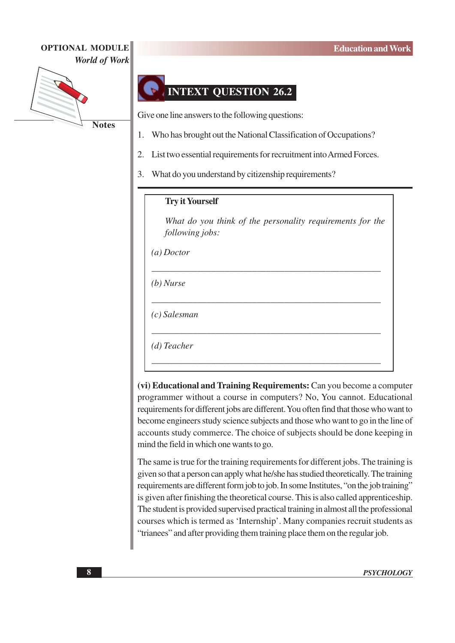

## **INTEXT QUESTION 26.2**

Give one line answers to the following questions:

- Who has brought out the National Classification of Occupations? 1.
- List two essential requirements for recruitment into Armed Forces.  $\overline{2}$ .
- 3. What do you understand by citizenship requirements?

## **Try it Yourself**

What do you think of the personality requirements for the following jobs:

 $(a)$ Doctor

 $(b)$  Nurse

 $(c)$  Salesman

 $(d)$  Teacher

(vi) Educational and Training Requirements: Can you become a computer programmer without a course in computers? No, You cannot. Educational requirements for different jobs are different. You often find that those who want to become engineers study science subjects and those who want to go in the line of accounts study commerce. The choice of subjects should be done keeping in mind the field in which one wants to go.

The same is true for the training requirements for different jobs. The training is given so that a person can apply what he/she has studied theoretically. The training requirements are different form job to job. In some Institutes, "on the job training" is given after finishing the theoretical course. This is also called apprenticeship. The student is provided supervised practical training in almost all the professional courses which is termed as 'Internship'. Many companies recruit students as "triances" and after providing them training place them on the regular job.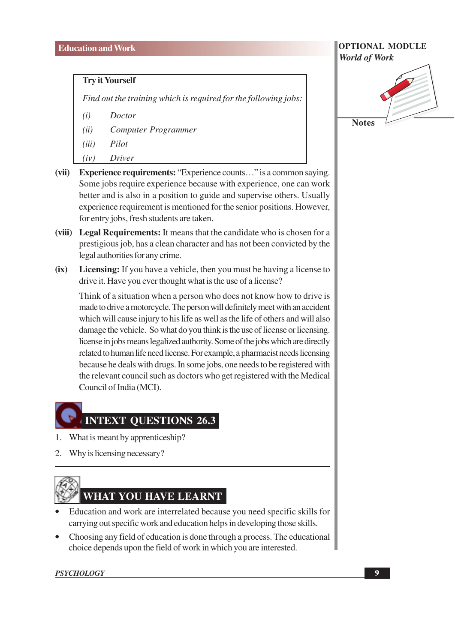## **Try it Yourself**

Find out the training which is required for the following jobs:

- $(i)$ **Doctor**
- Computer Programmer  $(ii)$
- $(iii)$ Pilot
- $(iv)$ Driver
- $(vii)$ **Experience requirements:** "Experience counts..." is a common saving. Some jobs require experience because with experience, one can work better and is also in a position to guide and supervise others. Usually experience requirement is mentioned for the senior positions. However, for entry jobs, fresh students are taken.
- (viii) Legal Requirements: It means that the candidate who is chosen for a prestigious job, has a clean character and has not been convicted by the legal authorities for any crime.
- $(ix)$ **Licensing:** If you have a vehicle, then you must be having a license to drive it. Have you ever thought what is the use of a license?

Think of a situation when a person who does not know how to drive is made to drive a motorcycle. The person will definitely meet with an accident which will cause injury to his life as well as the life of others and will also damage the vehicle. So what do you think is the use of license or licensing. license in jobs means legalized authority. Some of the jobs which are directly related to human life need license. For example, a pharmacist needs licensing because he deals with drugs. In some jobs, one needs to be registered with the relevant council such as doctors who get registered with the Medical Council of India (MCI).

## **INTEXT QUESTIONS 26.3**

- 1. What is meant by apprenticeship?
- 2. Why is licensing necessary?



## WHAT YOU HAVE LEARNT

- Education and work are interrelated because you need specific skills for carrying out specific work and education helps in developing those skills.
- Choosing any field of education is done through a process. The educational choice depends upon the field of work in which you are interested.

**PSYCHOLOGY** 

## **OPTIONAL MODULE World of Work Notes**